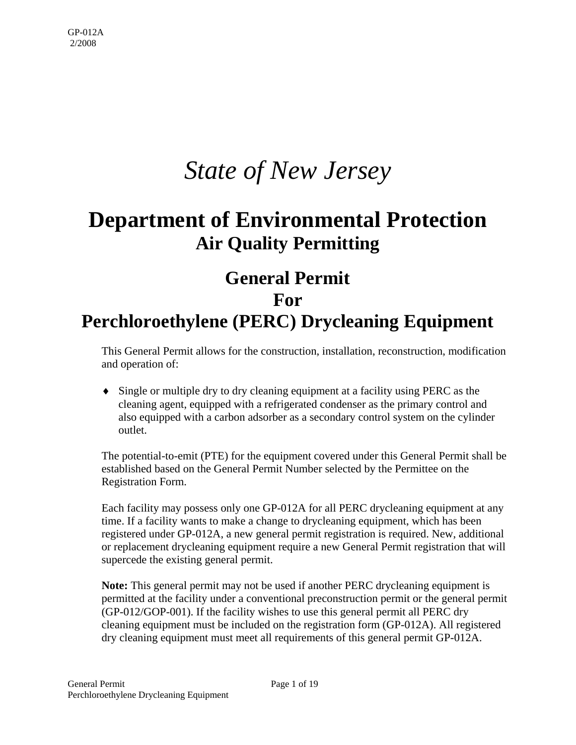# *State of New Jersey*

# **Department of Environmental Protection Air Quality Permitting**

## **General Permit For Perchloroethylene (PERC) Drycleaning Equipment**

This General Permit allows for the construction, installation, reconstruction, modification and operation of:

♦ Single or multiple dry to dry cleaning equipment at a facility using PERC as the cleaning agent, equipped with a refrigerated condenser as the primary control and also equipped with a carbon adsorber as a secondary control system on the cylinder outlet.

The potential-to-emit (PTE) for the equipment covered under this General Permit shall be established based on the General Permit Number selected by the Permittee on the Registration Form.

Each facility may possess only one GP-012A for all PERC drycleaning equipment at any time. If a facility wants to make a change to drycleaning equipment, which has been registered under GP-012A, a new general permit registration is required. New, additional or replacement drycleaning equipment require a new General Permit registration that will supercede the existing general permit.

**Note:** This general permit may not be used if another PERC drycleaning equipment is permitted at the facility under a conventional preconstruction permit or the general permit (GP-012/GOP-001). If the facility wishes to use this general permit all PERC dry cleaning equipment must be included on the registration form (GP-012A). All registered dry cleaning equipment must meet all requirements of this general permit GP-012A.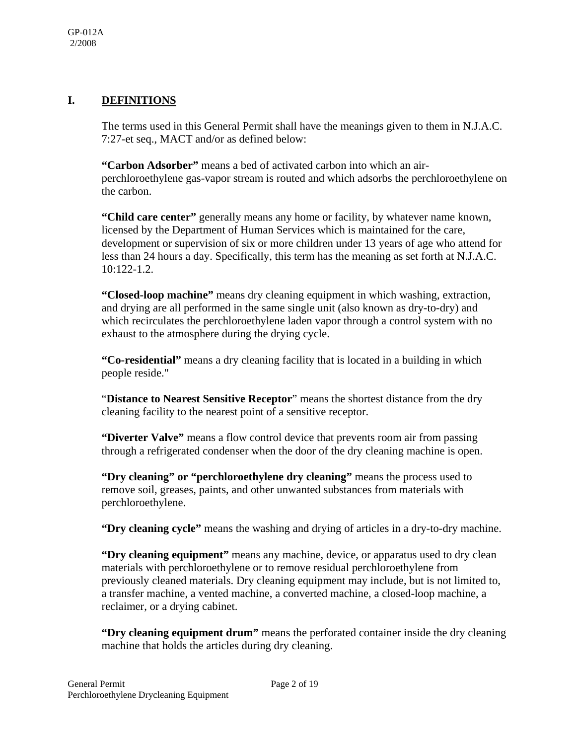#### **I. DEFINITIONS**

The terms used in this General Permit shall have the meanings given to them in N.J.A.C. 7:27-et seq., MACT and/or as defined below:

**"Carbon Adsorber"** means a bed of activated carbon into which an airperchloroethylene gas-vapor stream is routed and which adsorbs the perchloroethylene on the carbon.

**"Child care center"** generally means any home or facility, by whatever name known, licensed by the Department of Human Services which is maintained for the care, development or supervision of six or more children under 13 years of age who attend for less than 24 hours a day. Specifically, this term has the meaning as set forth at N.J.A.C. 10:122-1.2.

**"Closed-loop machine"** means dry cleaning equipment in which washing, extraction, and drying are all performed in the same single unit (also known as dry-to-dry) and which recirculates the perchloroethylene laden vapor through a control system with no exhaust to the atmosphere during the drying cycle.

**"Co-residential"** means a dry cleaning facility that is located in a building in which people reside."

"**Distance to Nearest Sensitive Receptor**" means the shortest distance from the dry cleaning facility to the nearest point of a sensitive receptor.

**"Diverter Valve"** means a flow control device that prevents room air from passing through a refrigerated condenser when the door of the dry cleaning machine is open.

**"Dry cleaning" or "perchloroethylene dry cleaning"** means the process used to remove soil, greases, paints, and other unwanted substances from materials with perchloroethylene.

**"Dry cleaning cycle"** means the washing and drying of articles in a dry-to-dry machine.

**"Dry cleaning equipment"** means any machine, device, or apparatus used to dry clean materials with perchloroethylene or to remove residual perchloroethylene from previously cleaned materials. Dry cleaning equipment may include, but is not limited to, a transfer machine, a vented machine, a converted machine, a closed-loop machine, a reclaimer, or a drying cabinet.

**"Dry cleaning equipment drum"** means the perforated container inside the dry cleaning machine that holds the articles during dry cleaning.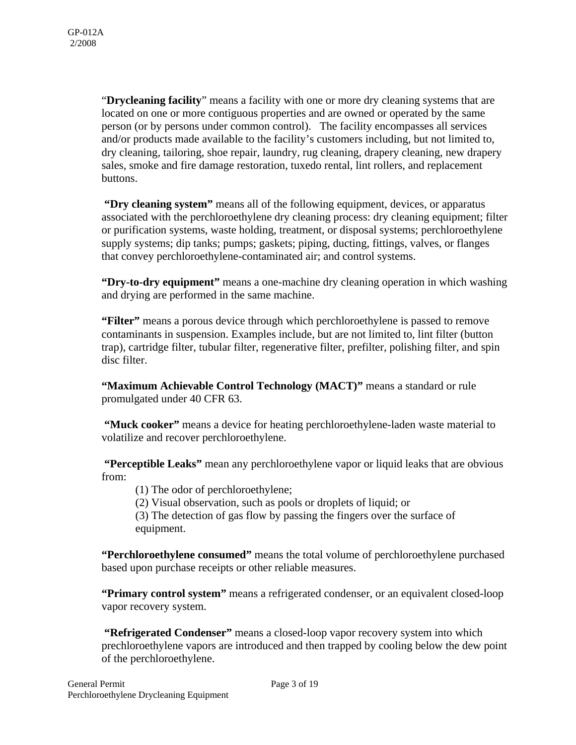"**Drycleaning facility**" means a facility with one or more dry cleaning systems that are located on one or more contiguous properties and are owned or operated by the same person (or by persons under common control). The facility encompasses all services and/or products made available to the facility's customers including, but not limited to, dry cleaning, tailoring, shoe repair, laundry, rug cleaning, drapery cleaning, new drapery sales, smoke and fire damage restoration, tuxedo rental, lint rollers, and replacement buttons.

 **"Dry cleaning system"** means all of the following equipment, devices, or apparatus associated with the perchloroethylene dry cleaning process: dry cleaning equipment; filter or purification systems, waste holding, treatment, or disposal systems; perchloroethylene supply systems; dip tanks; pumps; gaskets; piping, ducting, fittings, valves, or flanges that convey perchloroethylene-contaminated air; and control systems.

**"Dry-to-dry equipment"** means a one-machine dry cleaning operation in which washing and drying are performed in the same machine.

**"Filter"** means a porous device through which perchloroethylene is passed to remove contaminants in suspension. Examples include, but are not limited to, lint filter (button trap), cartridge filter, tubular filter, regenerative filter, prefilter, polishing filter, and spin disc filter.

**"Maximum Achievable Control Technology (MACT)"** means a standard or rule promulgated under 40 CFR 63.

 **"Muck cooker"** means a device for heating perchloroethylene-laden waste material to volatilize and recover perchloroethylene.

 **"Perceptible Leaks"** mean any perchloroethylene vapor or liquid leaks that are obvious from:

(1) The odor of perchloroethylene;

(2) Visual observation, such as pools or droplets of liquid; or

(3) The detection of gas flow by passing the fingers over the surface of equipment.

**"Perchloroethylene consumed"** means the total volume of perchloroethylene purchased based upon purchase receipts or other reliable measures.

**"Primary control system"** means a refrigerated condenser, or an equivalent closed-loop vapor recovery system.

 **"Refrigerated Condenser"** means a closed-loop vapor recovery system into which prechloroethylene vapors are introduced and then trapped by cooling below the dew point of the perchloroethylene.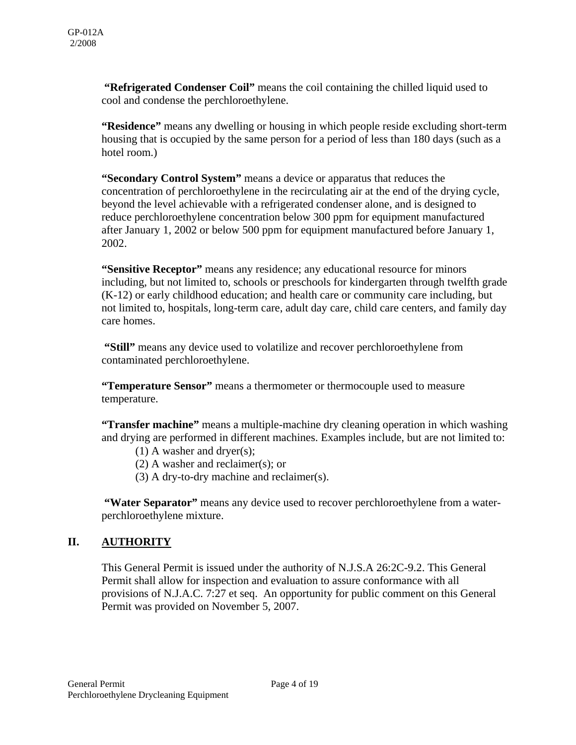**"Refrigerated Condenser Coil"** means the coil containing the chilled liquid used to cool and condense the perchloroethylene.

**"Residence"** means any dwelling or housing in which people reside excluding short-term housing that is occupied by the same person for a period of less than 180 days (such as a hotel room.)

**"Secondary Control System"** means a device or apparatus that reduces the concentration of perchloroethylene in the recirculating air at the end of the drying cycle, beyond the level achievable with a refrigerated condenser alone, and is designed to reduce perchloroethylene concentration below 300 ppm for equipment manufactured after January 1, 2002 or below 500 ppm for equipment manufactured before January 1, 2002.

**"Sensitive Receptor"** means any residence; any educational resource for minors including, but not limited to, schools or preschools for kindergarten through twelfth grade (K-12) or early childhood education; and health care or community care including, but not limited to, hospitals, long-term care, adult day care, child care centers, and family day care homes.

 **"Still"** means any device used to volatilize and recover perchloroethylene from contaminated perchloroethylene.

**"Temperature Sensor"** means a thermometer or thermocouple used to measure temperature.

**"Transfer machine"** means a multiple-machine dry cleaning operation in which washing and drying are performed in different machines. Examples include, but are not limited to:

(1) A washer and dryer(s);

(2) A washer and reclaimer(s); or

(3) A dry-to-dry machine and reclaimer(s).

 **"Water Separator"** means any device used to recover perchloroethylene from a waterperchloroethylene mixture.

### **II. AUTHORITY**

This General Permit is issued under the authority of N.J.S.A 26:2C-9.2. This General Permit shall allow for inspection and evaluation to assure conformance with all provisions of N.J.A.C. 7:27 et seq. An opportunity for public comment on this General Permit was provided on November 5, 2007.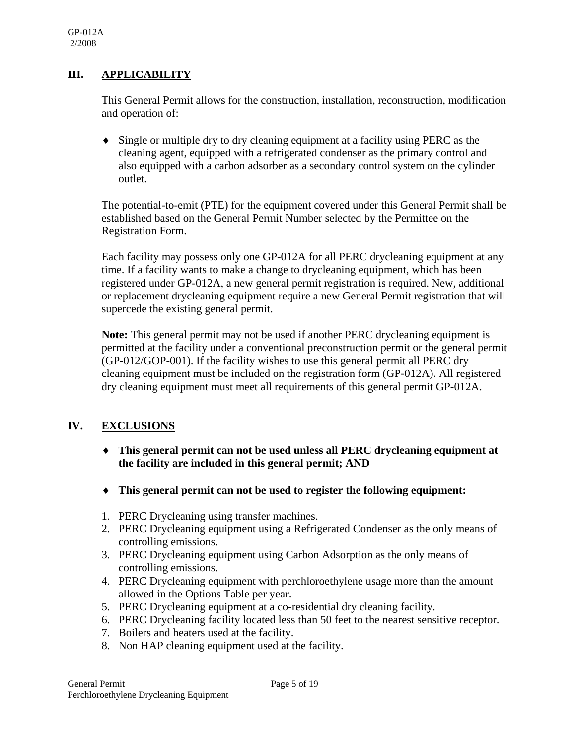#### **III. APPLICABILITY**

This General Permit allows for the construction, installation, reconstruction, modification and operation of:

♦ Single or multiple dry to dry cleaning equipment at a facility using PERC as the cleaning agent, equipped with a refrigerated condenser as the primary control and also equipped with a carbon adsorber as a secondary control system on the cylinder outlet.

The potential-to-emit (PTE) for the equipment covered under this General Permit shall be established based on the General Permit Number selected by the Permittee on the Registration Form.

Each facility may possess only one GP-012A for all PERC drycleaning equipment at any time. If a facility wants to make a change to drycleaning equipment, which has been registered under GP-012A, a new general permit registration is required. New, additional or replacement drycleaning equipment require a new General Permit registration that will supercede the existing general permit.

**Note:** This general permit may not be used if another PERC drycleaning equipment is permitted at the facility under a conventional preconstruction permit or the general permit (GP-012/GOP-001). If the facility wishes to use this general permit all PERC dry cleaning equipment must be included on the registration form (GP-012A). All registered dry cleaning equipment must meet all requirements of this general permit GP-012A.

### **IV. EXCLUSIONS**

- ♦ **This general permit can not be used unless all PERC drycleaning equipment at the facility are included in this general permit; AND**
- ♦ **This general permit can not be used to register the following equipment:**
- 1. PERC Drycleaning using transfer machines.
- 2. PERC Drycleaning equipment using a Refrigerated Condenser as the only means of controlling emissions.
- 3. PERC Drycleaning equipment using Carbon Adsorption as the only means of controlling emissions.
- 4. PERC Drycleaning equipment with perchloroethylene usage more than the amount allowed in the Options Table per year.
- 5. PERC Drycleaning equipment at a co-residential dry cleaning facility.
- 6. PERC Drycleaning facility located less than 50 feet to the nearest sensitive receptor.
- 7. Boilers and heaters used at the facility.
- 8. Non HAP cleaning equipment used at the facility.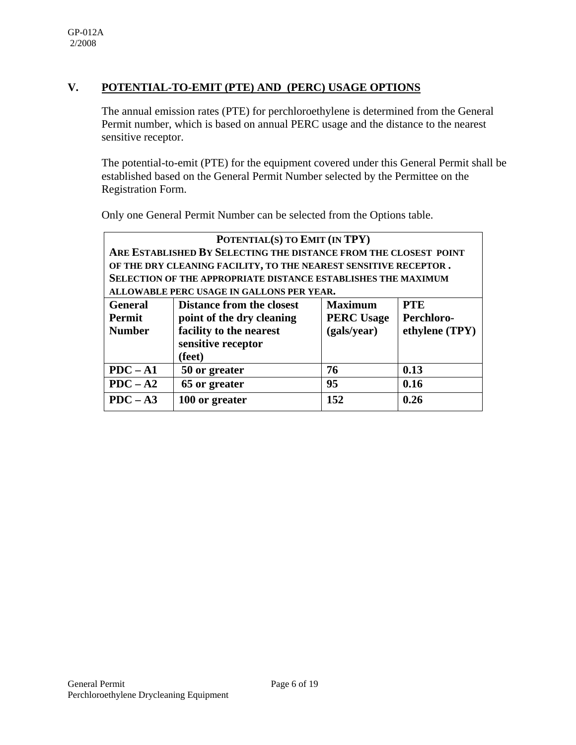### **V. POTENTIAL-TO-EMIT (PTE) AND (PERC) USAGE OPTIONS**

The annual emission rates (PTE) for perchloroethylene is determined from the General Permit number, which is based on annual PERC usage and the distance to the nearest sensitive receptor.

The potential-to-emit (PTE) for the equipment covered under this General Permit shall be established based on the General Permit Number selected by the Permittee on the Registration Form.

Only one General Permit Number can be selected from the Options table.

| POTENTIAL(S) TO EMIT (IN TPY) |                                                                      |                   |                |  |
|-------------------------------|----------------------------------------------------------------------|-------------------|----------------|--|
|                               | ARE ESTABLISHED BY SELECTING THE DISTANCE FROM THE CLOSEST POINT     |                   |                |  |
|                               | OF THE DRY CLEANING FACILITY, TO THE NEAREST SENSITIVE RECEPTOR.     |                   |                |  |
|                               | <b>SELECTION OF THE APPROPRIATE DISTANCE ESTABLISHES THE MAXIMUM</b> |                   |                |  |
|                               | ALLOWABLE PERC USAGE IN GALLONS PER YEAR.                            |                   |                |  |
| <b>General</b>                | <b>Distance from the closest</b>                                     | <b>Maximum</b>    | <b>PTE</b>     |  |
| <b>Permit</b>                 | point of the dry cleaning                                            | <b>PERC Usage</b> | Perchloro-     |  |
| <b>Number</b>                 | facility to the nearest                                              | (gals/year)       | ethylene (TPY) |  |
| sensitive receptor            |                                                                      |                   |                |  |
|                               | (feet)                                                               |                   |                |  |
| $PDC - A1$                    | 50 or greater                                                        | 76                | 0.13           |  |
| $PDC - A2$                    | 65 or greater                                                        | 95                | 0.16           |  |
| $PDC - A3$                    | 100 or greater                                                       | 152               | 0.26           |  |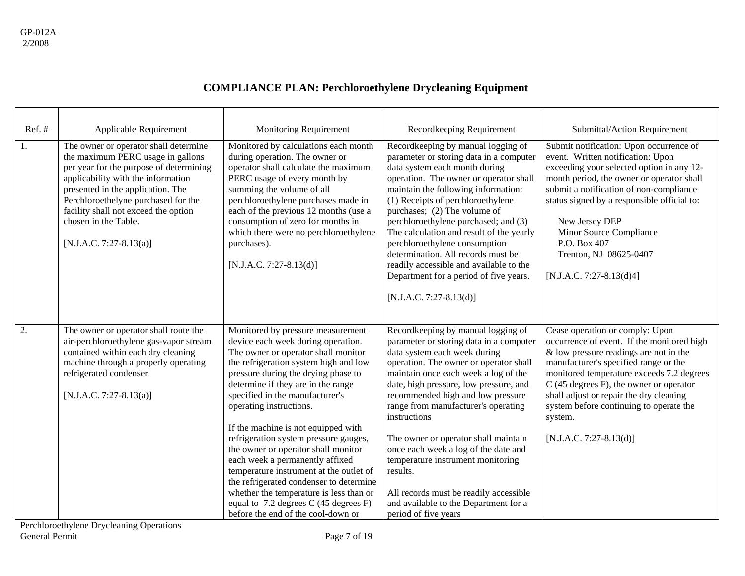| Ref.#            | Applicable Requirement                                                                                                                                                                                                                                                                                                             | Monitoring Requirement                                                                                                                                                                                                                                                                                                                                                                                                                                                                                                                                                                                                                                                         | Recordkeeping Requirement                                                                                                                                                                                                                                                                                                                                                                                                                                                                                                                                                         | Submittal/Action Requirement                                                                                                                                                                                                                                                                                                                                                           |
|------------------|------------------------------------------------------------------------------------------------------------------------------------------------------------------------------------------------------------------------------------------------------------------------------------------------------------------------------------|--------------------------------------------------------------------------------------------------------------------------------------------------------------------------------------------------------------------------------------------------------------------------------------------------------------------------------------------------------------------------------------------------------------------------------------------------------------------------------------------------------------------------------------------------------------------------------------------------------------------------------------------------------------------------------|-----------------------------------------------------------------------------------------------------------------------------------------------------------------------------------------------------------------------------------------------------------------------------------------------------------------------------------------------------------------------------------------------------------------------------------------------------------------------------------------------------------------------------------------------------------------------------------|----------------------------------------------------------------------------------------------------------------------------------------------------------------------------------------------------------------------------------------------------------------------------------------------------------------------------------------------------------------------------------------|
| $\overline{1}$ . | The owner or operator shall determine<br>the maximum PERC usage in gallons<br>per year for the purpose of determining<br>applicability with the information<br>presented in the application. The<br>Perchloroethelyne purchased for the<br>facility shall not exceed the option<br>chosen in the Table.<br>[N.J.A.C. 7:27-8.13(a)] | Monitored by calculations each month<br>during operation. The owner or<br>operator shall calculate the maximum<br>PERC usage of every month by<br>summing the volume of all<br>perchloroethylene purchases made in<br>each of the previous 12 months (use a<br>consumption of zero for months in<br>which there were no perchloroethylene<br>purchases).<br>$[N.J.A.C. 7:27-8.13(d)]$                                                                                                                                                                                                                                                                                          | Recordkeeping by manual logging of<br>parameter or storing data in a computer<br>data system each month during<br>operation. The owner or operator shall<br>maintain the following information:<br>(1) Receipts of perchloroethylene<br>purchases; (2) The volume of<br>perchloroethylene purchased; and (3)<br>The calculation and result of the yearly<br>perchloroethylene consumption<br>determination. All records must be<br>readily accessible and available to the<br>Department for a period of five years.<br>$[N.J.A.C. 7:27-8.13(d)]$                                 | Submit notification: Upon occurrence of<br>event. Written notification: Upon<br>exceeding your selected option in any 12-<br>month period, the owner or operator shall<br>submit a notification of non-compliance<br>status signed by a responsible official to:<br>New Jersey DEP<br>Minor Source Compliance<br>P.O. Box 407<br>Trenton, NJ 08625-0407<br>[N.J.A.C. 7:27-8.13(d)4]    |
| $\overline{2}$ . | The owner or operator shall route the<br>air-perchloroethylene gas-vapor stream<br>contained within each dry cleaning<br>machine through a properly operating<br>refrigerated condenser.<br>[N.J.A.C. 7:27-8.13(a)]                                                                                                                | Monitored by pressure measurement<br>device each week during operation.<br>The owner or operator shall monitor<br>the refrigeration system high and low<br>pressure during the drying phase to<br>determine if they are in the range<br>specified in the manufacturer's<br>operating instructions.<br>If the machine is not equipped with<br>refrigeration system pressure gauges,<br>the owner or operator shall monitor<br>each week a permanently affixed<br>temperature instrument at the outlet of<br>the refrigerated condenser to determine<br>whether the temperature is less than or<br>equal to $7.2$ degrees C (45 degrees F)<br>before the end of the cool-down or | Recordkeeping by manual logging of<br>parameter or storing data in a computer<br>data system each week during<br>operation. The owner or operator shall<br>maintain once each week a log of the<br>date, high pressure, low pressure, and<br>recommended high and low pressure<br>range from manufacturer's operating<br>instructions<br>The owner or operator shall maintain<br>once each week a log of the date and<br>temperature instrument monitoring<br>results.<br>All records must be readily accessible<br>and available to the Department for a<br>period of five years | Cease operation or comply: Upon<br>occurrence of event. If the monitored high<br>& low pressure readings are not in the<br>manufacturer's specified range or the<br>monitored temperature exceeds 7.2 degrees<br>C (45 degrees F), the owner or operator<br>shall adjust or repair the dry cleaning<br>system before continuing to operate the<br>system.<br>$[N.J.A.C. 7:27-8.13(d)]$ |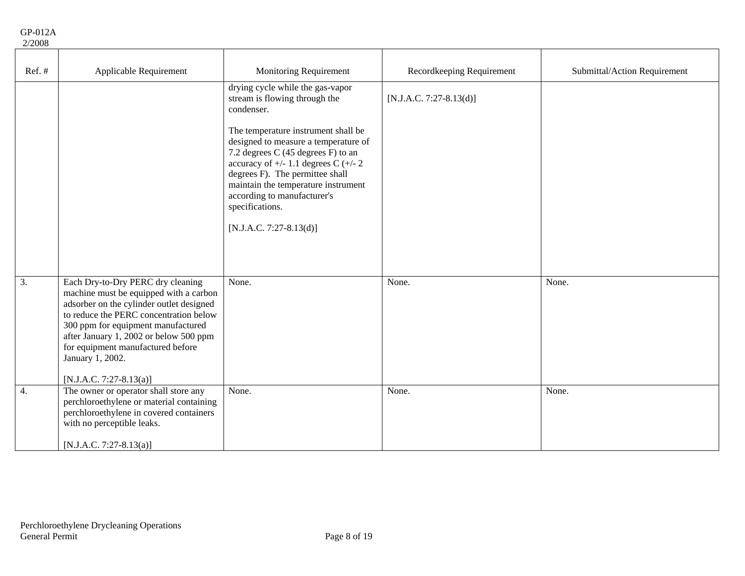| Ref. #           | Applicable Requirement                                                                                                                                                                                                                                                                                                                | <b>Monitoring Requirement</b>                                                                                                                                                                                                                                                                                                                                                                            | Recordkeeping Requirement | Submittal/Action Requirement |
|------------------|---------------------------------------------------------------------------------------------------------------------------------------------------------------------------------------------------------------------------------------------------------------------------------------------------------------------------------------|----------------------------------------------------------------------------------------------------------------------------------------------------------------------------------------------------------------------------------------------------------------------------------------------------------------------------------------------------------------------------------------------------------|---------------------------|------------------------------|
|                  |                                                                                                                                                                                                                                                                                                                                       | drying cycle while the gas-vapor<br>stream is flowing through the<br>condenser.<br>The temperature instrument shall be<br>designed to measure a temperature of<br>7.2 degrees C (45 degrees F) to an<br>accuracy of $+/- 1.1$ degrees C $(+/- 2)$<br>degrees F). The permittee shall<br>maintain the temperature instrument<br>according to manufacturer's<br>specifications.<br>[N.J.A.C. 7:27-8.13(d)] | $[N.J.A.C. 7:27-8.13(d)]$ |                              |
| $\overline{3}$ . | Each Dry-to-Dry PERC dry cleaning<br>machine must be equipped with a carbon<br>adsorber on the cylinder outlet designed<br>to reduce the PERC concentration below<br>300 ppm for equipment manufactured<br>after January 1, 2002 or below 500 ppm<br>for equipment manufactured before<br>January 1, 2002.<br>[N.J.A.C. 7:27-8.13(a)] | None.                                                                                                                                                                                                                                                                                                                                                                                                    | None.                     | None.                        |
| $\overline{4}$ . | The owner or operator shall store any<br>perchloroethylene or material containing<br>perchloroethylene in covered containers<br>with no perceptible leaks.<br>[N.J.A.C. 7:27-8.13(a)]                                                                                                                                                 | None.                                                                                                                                                                                                                                                                                                                                                                                                    | None.                     | None.                        |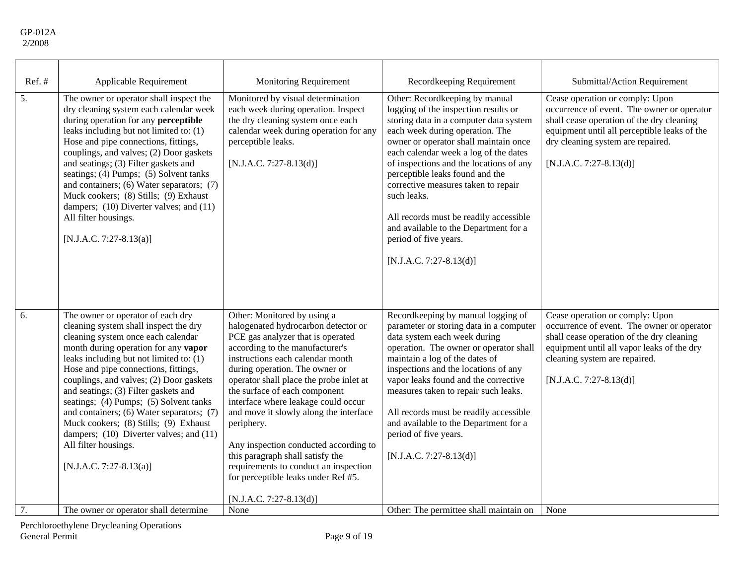| Ref.#            | Applicable Requirement                                                                                                                                                                                                                                                                                                                                                                                                                                                                                                                                       | <b>Monitoring Requirement</b>                                                                                                                                                                                                                                                                                                                                                                                                                                                                                                                                                       | Recordkeeping Requirement                                                                                                                                                                                                                                                                                                                                                                                                                                                                                          | Submittal/Action Requirement                                                                                                                                                                                                               |
|------------------|--------------------------------------------------------------------------------------------------------------------------------------------------------------------------------------------------------------------------------------------------------------------------------------------------------------------------------------------------------------------------------------------------------------------------------------------------------------------------------------------------------------------------------------------------------------|-------------------------------------------------------------------------------------------------------------------------------------------------------------------------------------------------------------------------------------------------------------------------------------------------------------------------------------------------------------------------------------------------------------------------------------------------------------------------------------------------------------------------------------------------------------------------------------|--------------------------------------------------------------------------------------------------------------------------------------------------------------------------------------------------------------------------------------------------------------------------------------------------------------------------------------------------------------------------------------------------------------------------------------------------------------------------------------------------------------------|--------------------------------------------------------------------------------------------------------------------------------------------------------------------------------------------------------------------------------------------|
| $\overline{5}$ . | The owner or operator shall inspect the<br>dry cleaning system each calendar week<br>during operation for any perceptible<br>leaks including but not limited to: (1)<br>Hose and pipe connections, fittings,<br>couplings, and valves; (2) Door gaskets<br>and seatings; (3) Filter gaskets and<br>seatings; (4) Pumps; (5) Solvent tanks<br>and containers; (6) Water separators; (7)<br>Muck cookers; (8) Stills; (9) Exhaust<br>dampers; (10) Diverter valves; and (11)<br>All filter housings.<br>[N.J.A.C. 7:27-8.13(a)]                                | Monitored by visual determination<br>each week during operation. Inspect<br>the dry cleaning system once each<br>calendar week during operation for any<br>perceptible leaks.<br>[N.J.A.C. 7:27-8.13(d)]                                                                                                                                                                                                                                                                                                                                                                            | Other: Recordkeeping by manual<br>logging of the inspection results or<br>storing data in a computer data system<br>each week during operation. The<br>owner or operator shall maintain once<br>each calendar week a log of the dates<br>of inspections and the locations of any<br>perceptible leaks found and the<br>corrective measures taken to repair<br>such leaks.<br>All records must be readily accessible<br>and available to the Department for a<br>period of five years.<br>$[N.J.A.C. 7:27-8.13(d)]$ | Cease operation or comply: Upon<br>occurrence of event. The owner or operator<br>shall cease operation of the dry cleaning<br>equipment until all perceptible leaks of the<br>dry cleaning system are repaired.<br>[N.J.A.C. 7:27-8.13(d)] |
| 6.               | The owner or operator of each dry<br>cleaning system shall inspect the dry<br>cleaning system once each calendar<br>month during operation for any vapor<br>leaks including but not limited to: (1)<br>Hose and pipe connections, fittings,<br>couplings, and valves; (2) Door gaskets<br>and seatings; (3) Filter gaskets and<br>seatings; (4) Pumps; (5) Solvent tanks<br>and containers; (6) Water separators; (7)<br>Muck cookers; (8) Stills; (9) Exhaust<br>dampers; (10) Diverter valves; and (11)<br>All filter housings.<br>[N.J.A.C. 7:27-8.13(a)] | Other: Monitored by using a<br>halogenated hydrocarbon detector or<br>PCE gas analyzer that is operated<br>according to the manufacturer's<br>instructions each calendar month<br>during operation. The owner or<br>operator shall place the probe inlet at<br>the surface of each component<br>interface where leakage could occur<br>and move it slowly along the interface<br>periphery.<br>Any inspection conducted according to<br>this paragraph shall satisfy the<br>requirements to conduct an inspection<br>for perceptible leaks under Ref #5.<br>[N.J.A.C. 7:27-8.13(d)] | Recordkeeping by manual logging of<br>parameter or storing data in a computer<br>data system each week during<br>operation. The owner or operator shall<br>maintain a log of the dates of<br>inspections and the locations of any<br>vapor leaks found and the corrective<br>measures taken to repair such leaks.<br>All records must be readily accessible<br>and available to the Department for a<br>period of five years.<br>$[N.J.A.C. 7:27-8.13(d)]$                                                         | Cease operation or comply: Upon<br>occurrence of event. The owner or operator<br>shall cease operation of the dry cleaning<br>equipment until all vapor leaks of the dry<br>cleaning system are repaired.<br>$[N.J.A.C. 7:27-8.13(d)]$     |
| 7.               | The owner or operator shall determine                                                                                                                                                                                                                                                                                                                                                                                                                                                                                                                        | None                                                                                                                                                                                                                                                                                                                                                                                                                                                                                                                                                                                | Other: The permittee shall maintain on                                                                                                                                                                                                                                                                                                                                                                                                                                                                             | None                                                                                                                                                                                                                                       |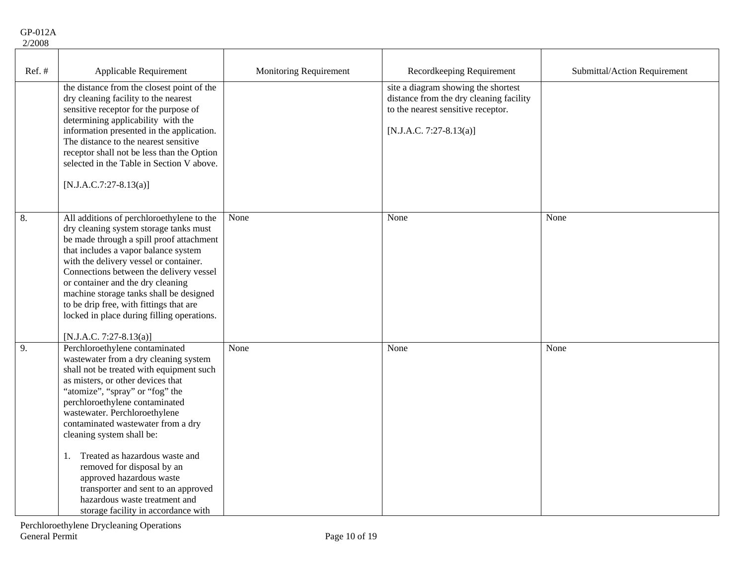| Ref.# | Applicable Requirement                                                                                                                                                                                                                                                                                                                                                                                                                                                                                                                             | Monitoring Requirement | Recordkeeping Requirement                                                                                                                       | Submittal/Action Requirement |
|-------|----------------------------------------------------------------------------------------------------------------------------------------------------------------------------------------------------------------------------------------------------------------------------------------------------------------------------------------------------------------------------------------------------------------------------------------------------------------------------------------------------------------------------------------------------|------------------------|-------------------------------------------------------------------------------------------------------------------------------------------------|------------------------------|
|       | the distance from the closest point of the<br>dry cleaning facility to the nearest<br>sensitive receptor for the purpose of<br>determining applicability with the<br>information presented in the application.<br>The distance to the nearest sensitive<br>receptor shall not be less than the Option<br>selected in the Table in Section V above.<br>$[N.J.A.C.7:27-8.13(a)]$                                                                                                                                                                     |                        | site a diagram showing the shortest<br>distance from the dry cleaning facility<br>to the nearest sensitive receptor.<br>[N.J.A.C. 7:27-8.13(a)] |                              |
| 8.    | All additions of perchloroethylene to the<br>dry cleaning system storage tanks must<br>be made through a spill proof attachment<br>that includes a vapor balance system<br>with the delivery vessel or container.<br>Connections between the delivery vessel<br>or container and the dry cleaning<br>machine storage tanks shall be designed<br>to be drip free, with fittings that are<br>locked in place during filling operations.<br>[N.J.A.C. 7:27-8.13(a)]                                                                                   | None                   | None                                                                                                                                            | None                         |
| 9.    | Perchloroethylene contaminated<br>wastewater from a dry cleaning system<br>shall not be treated with equipment such<br>as misters, or other devices that<br>"atomize", "spray" or "fog" the<br>perchloroethylene contaminated<br>wastewater. Perchloroethylene<br>contaminated wastewater from a dry<br>cleaning system shall be:<br>Treated as hazardous waste and<br>1.<br>removed for disposal by an<br>approved hazardous waste<br>transporter and sent to an approved<br>hazardous waste treatment and<br>storage facility in accordance with | None                   | None                                                                                                                                            | None                         |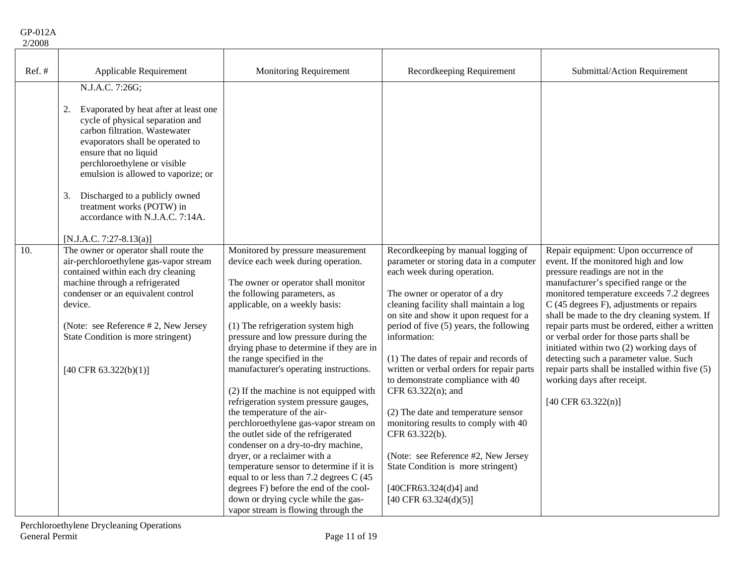| 20 K |  |
|------|--|
|      |  |

| Ref.# | Applicable Requirement                                                                                                                                                                                                                                                                                                                                                                                       | <b>Monitoring Requirement</b>                                                                                                                                                                                                                                                                                                                                                                                                                                                                                                                                                                                                                                                                                                                                                                                                                                             | Recordkeeping Requirement                                                                                                                                                                                                                                                                                                                                                                                                                                                                                                                                                                                                                                                       | Submittal/Action Requirement                                                                                                                                                                                                                                                                                                                                                                                                                                                                                                                                                                              |
|-------|--------------------------------------------------------------------------------------------------------------------------------------------------------------------------------------------------------------------------------------------------------------------------------------------------------------------------------------------------------------------------------------------------------------|---------------------------------------------------------------------------------------------------------------------------------------------------------------------------------------------------------------------------------------------------------------------------------------------------------------------------------------------------------------------------------------------------------------------------------------------------------------------------------------------------------------------------------------------------------------------------------------------------------------------------------------------------------------------------------------------------------------------------------------------------------------------------------------------------------------------------------------------------------------------------|---------------------------------------------------------------------------------------------------------------------------------------------------------------------------------------------------------------------------------------------------------------------------------------------------------------------------------------------------------------------------------------------------------------------------------------------------------------------------------------------------------------------------------------------------------------------------------------------------------------------------------------------------------------------------------|-----------------------------------------------------------------------------------------------------------------------------------------------------------------------------------------------------------------------------------------------------------------------------------------------------------------------------------------------------------------------------------------------------------------------------------------------------------------------------------------------------------------------------------------------------------------------------------------------------------|
|       | N.J.A.C. 7:26G;<br>Evaporated by heat after at least one<br>2.<br>cycle of physical separation and<br>carbon filtration. Wastewater<br>evaporators shall be operated to<br>ensure that no liquid<br>perchloroethylene or visible<br>emulsion is allowed to vaporize; or<br>Discharged to a publicly owned<br>3.<br>treatment works (POTW) in<br>accordance with N.J.A.C. 7:14A.<br>$[N.J.A.C. 7:27-8.13(a)]$ |                                                                                                                                                                                                                                                                                                                                                                                                                                                                                                                                                                                                                                                                                                                                                                                                                                                                           |                                                                                                                                                                                                                                                                                                                                                                                                                                                                                                                                                                                                                                                                                 |                                                                                                                                                                                                                                                                                                                                                                                                                                                                                                                                                                                                           |
| 10.   | The owner or operator shall route the<br>air-perchloroethylene gas-vapor stream<br>contained within each dry cleaning<br>machine through a refrigerated<br>condenser or an equivalent control<br>device.<br>(Note: see Reference #2, New Jersey<br>State Condition is more stringent)<br>[40 CFR 63.322(b)(1)]                                                                                               | Monitored by pressure measurement<br>device each week during operation.<br>The owner or operator shall monitor<br>the following parameters, as<br>applicable, on a weekly basis:<br>(1) The refrigeration system high<br>pressure and low pressure during the<br>drying phase to determine if they are in<br>the range specified in the<br>manufacturer's operating instructions.<br>(2) If the machine is not equipped with<br>refrigeration system pressure gauges,<br>the temperature of the air-<br>perchloroethylene gas-vapor stream on<br>the outlet side of the refrigerated<br>condenser on a dry-to-dry machine,<br>dryer, or a reclaimer with a<br>temperature sensor to determine if it is<br>equal to or less than 7.2 degrees C (45<br>degrees F) before the end of the cool-<br>down or drying cycle while the gas-<br>vapor stream is flowing through the | Recordkeeping by manual logging of<br>parameter or storing data in a computer<br>each week during operation.<br>The owner or operator of a dry<br>cleaning facility shall maintain a log<br>on site and show it upon request for a<br>period of five (5) years, the following<br>information:<br>(1) The dates of repair and records of<br>written or verbal orders for repair parts<br>to demonstrate compliance with 40<br>CFR 63.322(n); and<br>(2) The date and temperature sensor<br>monitoring results to comply with 40<br>CFR 63.322(b).<br>(Note: see Reference #2, New Jersey<br>State Condition is more stringent)<br>[40CFR63.324(d)4] and<br>[40 CFR 63.324(d)(5)] | Repair equipment: Upon occurrence of<br>event. If the monitored high and low<br>pressure readings are not in the<br>manufacturer's specified range or the<br>monitored temperature exceeds 7.2 degrees<br>C (45 degrees F), adjustments or repairs<br>shall be made to the dry cleaning system. If<br>repair parts must be ordered, either a written<br>or verbal order for those parts shall be<br>initiated within two (2) working days of<br>detecting such a parameter value. Such<br>repair parts shall be installed within five (5)<br>working days after receipt.<br>$[40 \text{ CFR } 63.322(n)]$ |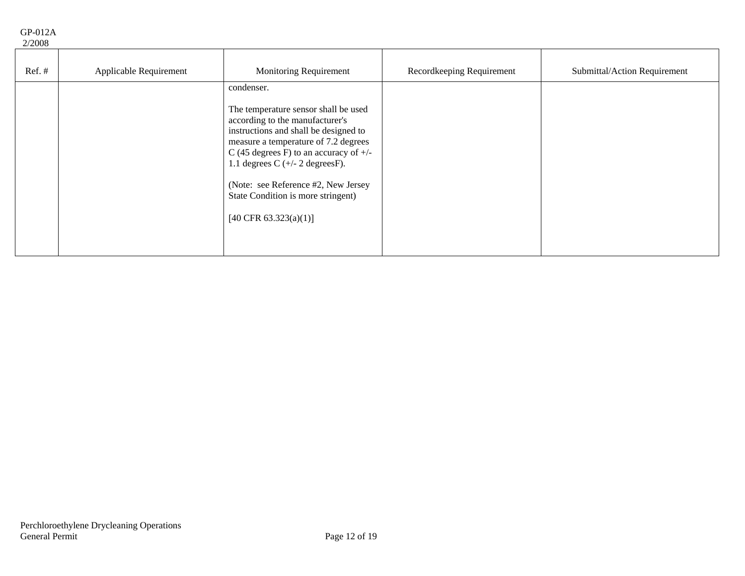| . | $\cdots$ |  |
|---|----------|--|
|   | 2/2008   |  |

| $Ref.$ # | Applicable Requirement | <b>Monitoring Requirement</b>                                                                                                                                                                                                                                                                                                                    | Recordkeeping Requirement | Submittal/Action Requirement |
|----------|------------------------|--------------------------------------------------------------------------------------------------------------------------------------------------------------------------------------------------------------------------------------------------------------------------------------------------------------------------------------------------|---------------------------|------------------------------|
|          |                        | condenser.                                                                                                                                                                                                                                                                                                                                       |                           |                              |
|          |                        | The temperature sensor shall be used<br>according to the manufacturer's<br>instructions and shall be designed to<br>measure a temperature of 7.2 degrees<br>C (45 degrees F) to an accuracy of $+/-$<br>1.1 degrees $C$ (+/- 2 degrees F).<br>(Note: see Reference #2, New Jersey<br>State Condition is more stringent)<br>[40 CFR 63.323(a)(1)] |                           |                              |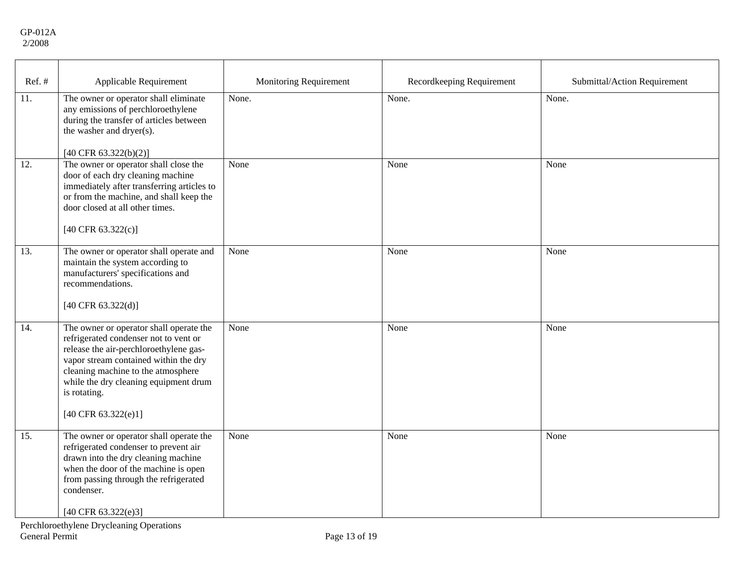| Ref.#             | Applicable Requirement                                                                                                                                                                                                                                                                               | <b>Monitoring Requirement</b> | Recordkeeping Requirement | Submittal/Action Requirement |
|-------------------|------------------------------------------------------------------------------------------------------------------------------------------------------------------------------------------------------------------------------------------------------------------------------------------------------|-------------------------------|---------------------------|------------------------------|
| 11.               | The owner or operator shall eliminate<br>any emissions of perchloroethylene<br>during the transfer of articles between<br>the washer and dryer(s).<br>[40 CFR $63.322(b)(2)$ ]                                                                                                                       | None.                         | None.                     | None.                        |
| 12.               | The owner or operator shall close the<br>door of each dry cleaning machine<br>immediately after transferring articles to<br>or from the machine, and shall keep the<br>door closed at all other times.<br>[40 CFR $63.322(c)$ ]                                                                      | None                          | None                      | None                         |
| 13.               | The owner or operator shall operate and<br>maintain the system according to<br>manufacturers' specifications and<br>recommendations.<br>[40 CFR 63.322(d)]                                                                                                                                           | None                          | None                      | None                         |
| $\overline{14}$ . | The owner or operator shall operate the<br>refrigerated condenser not to vent or<br>release the air-perchloroethylene gas-<br>vapor stream contained within the dry<br>cleaning machine to the atmosphere<br>while the dry cleaning equipment drum<br>is rotating.<br>$[40 \text{ CFR } 63.322(e)1]$ | None                          | None                      | None                         |
| $\overline{15}$ . | The owner or operator shall operate the<br>refrigerated condenser to prevent air<br>drawn into the dry cleaning machine<br>when the door of the machine is open<br>from passing through the refrigerated<br>condenser.<br>[40 CFR $63.322(e)3$ ]                                                     | None                          | None                      | None                         |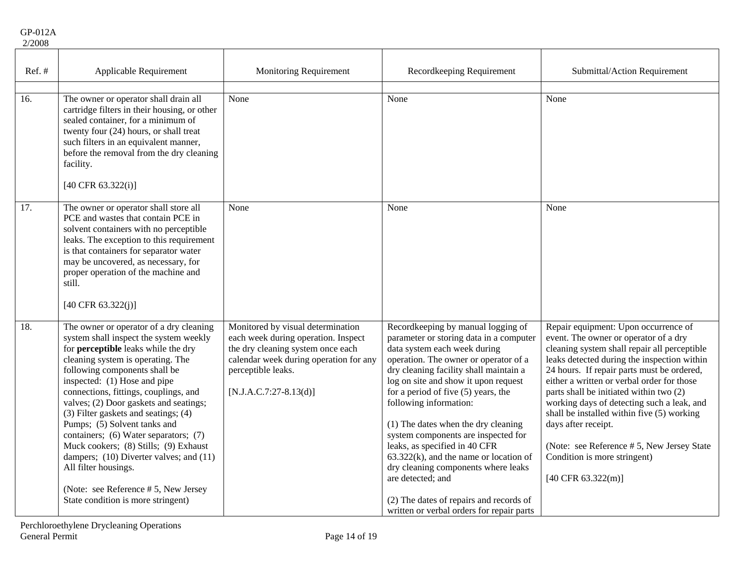GP-012A 2/2008

| Ref. # | Applicable Requirement                                                                                                                                                                                                                                                                                                                                                                                                                                                                                                                                                                                                                 | Monitoring Requirement                                                                                                                                                                                    | Recordkeeping Requirement                                                                                                                                                                                                                                                                                                                                                                                                                                                                                                                                                                                                   | Submittal/Action Requirement                                                                                                                                                                                                                                                                                                                                                                                                                                                                                                                                   |
|--------|----------------------------------------------------------------------------------------------------------------------------------------------------------------------------------------------------------------------------------------------------------------------------------------------------------------------------------------------------------------------------------------------------------------------------------------------------------------------------------------------------------------------------------------------------------------------------------------------------------------------------------------|-----------------------------------------------------------------------------------------------------------------------------------------------------------------------------------------------------------|-----------------------------------------------------------------------------------------------------------------------------------------------------------------------------------------------------------------------------------------------------------------------------------------------------------------------------------------------------------------------------------------------------------------------------------------------------------------------------------------------------------------------------------------------------------------------------------------------------------------------------|----------------------------------------------------------------------------------------------------------------------------------------------------------------------------------------------------------------------------------------------------------------------------------------------------------------------------------------------------------------------------------------------------------------------------------------------------------------------------------------------------------------------------------------------------------------|
| 16.    | The owner or operator shall drain all<br>cartridge filters in their housing, or other<br>sealed container, for a minimum of<br>twenty four (24) hours, or shall treat<br>such filters in an equivalent manner,<br>before the removal from the dry cleaning<br>facility.<br>$[40 \text{ CFR } 63.322(i)]$                                                                                                                                                                                                                                                                                                                               | None                                                                                                                                                                                                      | None                                                                                                                                                                                                                                                                                                                                                                                                                                                                                                                                                                                                                        | None                                                                                                                                                                                                                                                                                                                                                                                                                                                                                                                                                           |
| 17.    | The owner or operator shall store all<br>PCE and wastes that contain PCE in<br>solvent containers with no perceptible<br>leaks. The exception to this requirement<br>is that containers for separator water<br>may be uncovered, as necessary, for<br>proper operation of the machine and<br>still.<br>$[40 \text{ CFR } 63.322(j)]$                                                                                                                                                                                                                                                                                                   | None                                                                                                                                                                                                      | None                                                                                                                                                                                                                                                                                                                                                                                                                                                                                                                                                                                                                        | None                                                                                                                                                                                                                                                                                                                                                                                                                                                                                                                                                           |
| 18.    | The owner or operator of a dry cleaning<br>system shall inspect the system weekly<br>for <b>perceptible</b> leaks while the dry<br>cleaning system is operating. The<br>following components shall be<br>inspected: (1) Hose and pipe<br>connections, fittings, couplings, and<br>valves; (2) Door gaskets and seatings;<br>(3) Filter gaskets and seatings; (4)<br>Pumps; (5) Solvent tanks and<br>containers; (6) Water separators; (7)<br>Muck cookers; (8) Stills; (9) Exhaust<br>dampers; (10) Diverter valves; and (11)<br>All filter housings.<br>(Note: see Reference $# 5$ , New Jersey<br>State condition is more stringent) | Monitored by visual determination<br>each week during operation. Inspect<br>the dry cleaning system once each<br>calendar week during operation for any<br>perceptible leaks.<br>$[N.J.A.C.7:27-8.13(d)]$ | Recordkeeping by manual logging of<br>parameter or storing data in a computer<br>data system each week during<br>operation. The owner or operator of a<br>dry cleaning facility shall maintain a<br>log on site and show it upon request<br>for a period of five $(5)$ years, the<br>following information:<br>(1) The dates when the dry cleaning<br>system components are inspected for<br>leaks, as specified in 40 CFR<br>$63.322(k)$ , and the name or location of<br>dry cleaning components where leaks<br>are detected; and<br>(2) The dates of repairs and records of<br>written or verbal orders for repair parts | Repair equipment: Upon occurrence of<br>event. The owner or operator of a dry<br>cleaning system shall repair all perceptible<br>leaks detected during the inspection within<br>24 hours. If repair parts must be ordered,<br>either a written or verbal order for those<br>parts shall be initiated within two (2)<br>working days of detecting such a leak, and<br>shall be installed within five (5) working<br>days after receipt.<br>(Note: see Reference # 5, New Jersey State<br>Condition is more stringent)<br>$[40 \text{ CFR } 63.322 \text{ (m)}]$ |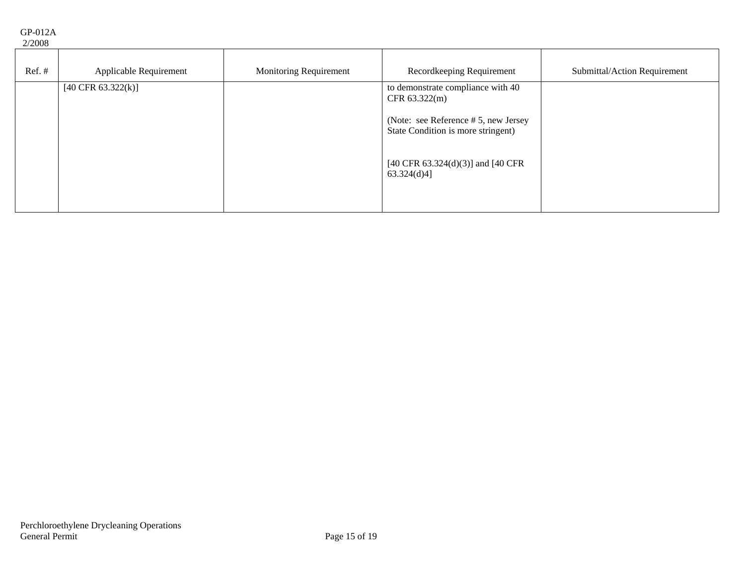GP-012A 2/2008

| $\sim$   |                               |                               |                                                                               |                              |
|----------|-------------------------------|-------------------------------|-------------------------------------------------------------------------------|------------------------------|
| $Ref.$ # | Applicable Requirement        | <b>Monitoring Requirement</b> | Recordkeeping Requirement                                                     | Submittal/Action Requirement |
|          | $[40 \text{ CFR } 63.322(k)]$ |                               | to demonstrate compliance with 40<br>CFR $63.322(m)$                          |                              |
|          |                               |                               | (Note: see Reference $# 5$ , new Jersey<br>State Condition is more stringent) |                              |
|          |                               |                               | [40 CFR 63.324(d)(3)] and [40 CFR<br>$63.324(d)4$ ]                           |                              |
|          |                               |                               |                                                                               |                              |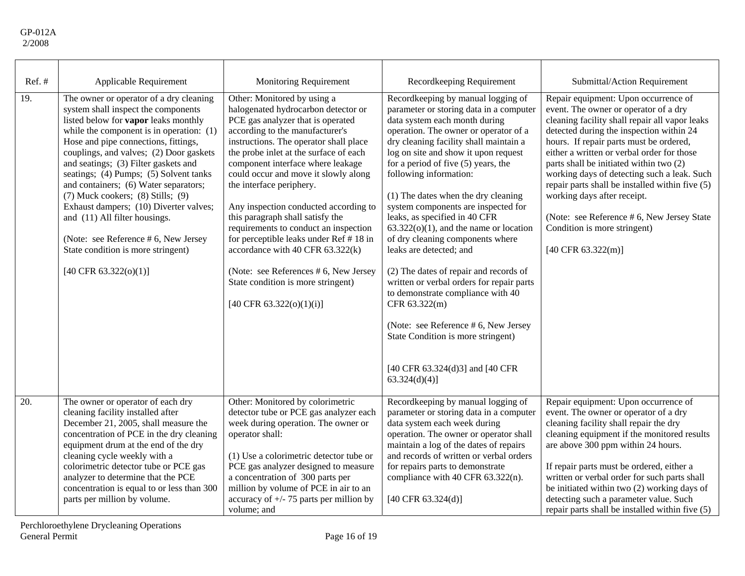| $Ref.$ #          | Applicable Requirement                                                                                                                                                                                                                                                                                                                                                                                                                                                                                                                                                                                          | <b>Monitoring Requirement</b>                                                                                                                                                                                                                                                                                                                                                                                                                                                                                                                                                                                                                          | Recordkeeping Requirement                                                                                                                                                                                                                                                                                                                                                                                                                                                                                                                                                                                                                                                                                                                                                                                                 | Submittal/Action Requirement                                                                                                                                                                                                                                                                                                                                                                                                                                                                                                                                             |
|-------------------|-----------------------------------------------------------------------------------------------------------------------------------------------------------------------------------------------------------------------------------------------------------------------------------------------------------------------------------------------------------------------------------------------------------------------------------------------------------------------------------------------------------------------------------------------------------------------------------------------------------------|--------------------------------------------------------------------------------------------------------------------------------------------------------------------------------------------------------------------------------------------------------------------------------------------------------------------------------------------------------------------------------------------------------------------------------------------------------------------------------------------------------------------------------------------------------------------------------------------------------------------------------------------------------|---------------------------------------------------------------------------------------------------------------------------------------------------------------------------------------------------------------------------------------------------------------------------------------------------------------------------------------------------------------------------------------------------------------------------------------------------------------------------------------------------------------------------------------------------------------------------------------------------------------------------------------------------------------------------------------------------------------------------------------------------------------------------------------------------------------------------|--------------------------------------------------------------------------------------------------------------------------------------------------------------------------------------------------------------------------------------------------------------------------------------------------------------------------------------------------------------------------------------------------------------------------------------------------------------------------------------------------------------------------------------------------------------------------|
| 19.               | The owner or operator of a dry cleaning<br>system shall inspect the components<br>listed below for vapor leaks monthly<br>while the component is in operation: $(1)$<br>Hose and pipe connections, fittings,<br>couplings, and valves; (2) Door gaskets<br>and seatings; (3) Filter gaskets and<br>seatings; (4) Pumps; (5) Solvent tanks<br>and containers; (6) Water separators;<br>$(7)$ Muck cookers; $(8)$ Stills; $(9)$<br>Exhaust dampers; (10) Diverter valves;<br>and (11) All filter housings.<br>(Note: see Reference # 6, New Jersey<br>State condition is more stringent)<br>[40 CFR 63.322(o)(1)] | Other: Monitored by using a<br>halogenated hydrocarbon detector or<br>PCE gas analyzer that is operated<br>according to the manufacturer's<br>instructions. The operator shall place<br>the probe inlet at the surface of each<br>component interface where leakage<br>could occur and move it slowly along<br>the interface periphery.<br>Any inspection conducted according to<br>this paragraph shall satisfy the<br>requirements to conduct an inspection<br>for perceptible leaks under Ref #18 in<br>accordance with 40 CFR 63.322(k)<br>(Note: see References # 6, New Jersey<br>State condition is more stringent)<br>[40 CFR 63.322(o)(1)(i)] | Recordkeeping by manual logging of<br>parameter or storing data in a computer<br>data system each month during<br>operation. The owner or operator of a<br>dry cleaning facility shall maintain a<br>log on site and show it upon request<br>for a period of five $(5)$ years, the<br>following information:<br>(1) The dates when the dry cleaning<br>system components are inspected for<br>leaks, as specified in 40 CFR<br>$63.322(o)(1)$ , and the name or location<br>of dry cleaning components where<br>leaks are detected; and<br>(2) The dates of repair and records of<br>written or verbal orders for repair parts<br>to demonstrate compliance with 40<br>CFR 63.322(m)<br>(Note: see Reference # 6, New Jersey<br>State Condition is more stringent)<br>[40 CFR 63.324(d)3] and [40 CFR<br>$63.324(d)(4)$ ] | Repair equipment: Upon occurrence of<br>event. The owner or operator of a dry<br>cleaning facility shall repair all vapor leaks<br>detected during the inspection within 24<br>hours. If repair parts must be ordered,<br>either a written or verbal order for those<br>parts shall be initiated within two (2)<br>working days of detecting such a leak. Such<br>repair parts shall be installed within five (5)<br>working days after receipt.<br>(Note: see Reference # 6, New Jersey State<br>Condition is more stringent)<br>$[40 \text{ CFR } 63.322 \text{ (m)}]$ |
| $\overline{20}$ . | The owner or operator of each dry<br>cleaning facility installed after<br>December 21, 2005, shall measure the<br>concentration of PCE in the dry cleaning<br>equipment drum at the end of the dry<br>cleaning cycle weekly with a<br>colorimetric detector tube or PCE gas<br>analyzer to determine that the PCE<br>concentration is equal to or less than 300<br>parts per million by volume.                                                                                                                                                                                                                 | Other: Monitored by colorimetric<br>detector tube or PCE gas analyzer each<br>week during operation. The owner or<br>operator shall:<br>(1) Use a colorimetric detector tube or<br>PCE gas analyzer designed to measure<br>a concentration of 300 parts per<br>million by volume of PCE in air to an<br>accuracy of $+/- 75$ parts per million by<br>volume; and                                                                                                                                                                                                                                                                                       | Recordkeeping by manual logging of<br>parameter or storing data in a computer<br>data system each week during<br>operation. The owner or operator shall<br>maintain a log of the dates of repairs<br>and records of written or verbal orders<br>for repairs parts to demonstrate<br>compliance with 40 CFR 63.322(n).<br>[40 CFR 63.324(d)]                                                                                                                                                                                                                                                                                                                                                                                                                                                                               | Repair equipment: Upon occurrence of<br>event. The owner or operator of a dry<br>cleaning facility shall repair the dry<br>cleaning equipment if the monitored results<br>are above 300 ppm within 24 hours.<br>If repair parts must be ordered, either a<br>written or verbal order for such parts shall<br>be initiated within two (2) working days of<br>detecting such a parameter value. Such<br>repair parts shall be installed within five (5)                                                                                                                    |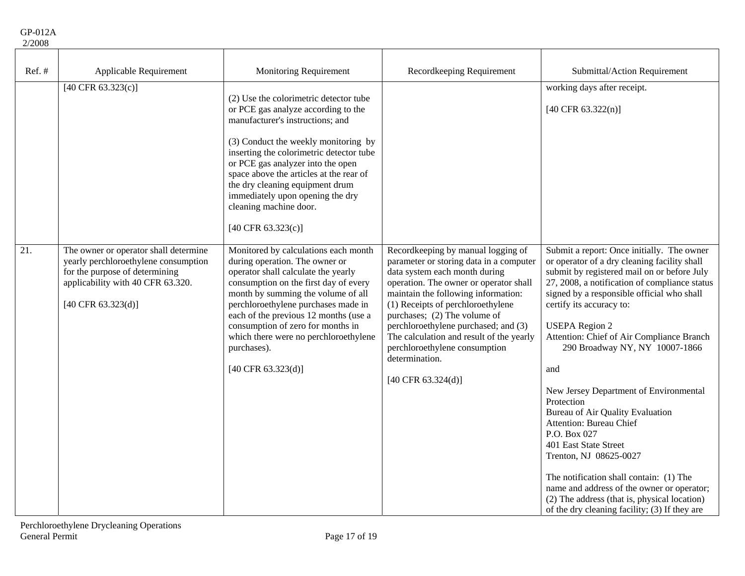| Ref.# | Applicable Requirement                                                                                                                                                                         | <b>Monitoring Requirement</b>                                                                                                                                                                                                                                                                                                                                                                                       | Recordkeeping Requirement                                                                                                                                                                                                                                                                                                                                                                                                                             | Submittal/Action Requirement                                                                                                                                                                                                                                                                                                                                                                                                                                                                                                                                                                                                                                                                                                                                            |
|-------|------------------------------------------------------------------------------------------------------------------------------------------------------------------------------------------------|---------------------------------------------------------------------------------------------------------------------------------------------------------------------------------------------------------------------------------------------------------------------------------------------------------------------------------------------------------------------------------------------------------------------|-------------------------------------------------------------------------------------------------------------------------------------------------------------------------------------------------------------------------------------------------------------------------------------------------------------------------------------------------------------------------------------------------------------------------------------------------------|-------------------------------------------------------------------------------------------------------------------------------------------------------------------------------------------------------------------------------------------------------------------------------------------------------------------------------------------------------------------------------------------------------------------------------------------------------------------------------------------------------------------------------------------------------------------------------------------------------------------------------------------------------------------------------------------------------------------------------------------------------------------------|
|       | [40 CFR $63.323(c)$ ]                                                                                                                                                                          | (2) Use the colorimetric detector tube<br>or PCE gas analyze according to the<br>manufacturer's instructions; and<br>(3) Conduct the weekly monitoring by<br>inserting the colorimetric detector tube<br>or PCE gas analyzer into the open<br>space above the articles at the rear of<br>the dry cleaning equipment drum<br>immediately upon opening the dry<br>cleaning machine door.<br>[40 CFR 63.323(c)]        |                                                                                                                                                                                                                                                                                                                                                                                                                                                       | working days after receipt.<br>$[40 \text{ CFR } 63.322(n)]$                                                                                                                                                                                                                                                                                                                                                                                                                                                                                                                                                                                                                                                                                                            |
| 21.   | The owner or operator shall determine<br>yearly perchloroethylene consumption<br>for the purpose of determining<br>applicability with 40 CFR 63.320.<br>$[40 \text{ CFR } 63.323 \text{ (d)}]$ | Monitored by calculations each month<br>during operation. The owner or<br>operator shall calculate the yearly<br>consumption on the first day of every<br>month by summing the volume of all<br>perchloroethylene purchases made in<br>each of the previous 12 months (use a<br>consumption of zero for months in<br>which there were no perchloroethylene<br>purchases).<br>$[40 \text{ CFR } 63.323 \text{ (d)}]$ | Recordkeeping by manual logging of<br>parameter or storing data in a computer<br>data system each month during<br>operation. The owner or operator shall<br>maintain the following information:<br>(1) Receipts of perchloroethylene<br>purchases; (2) The volume of<br>perchloroethylene purchased; and (3)<br>The calculation and result of the yearly<br>perchloroethylene consumption<br>determination.<br>$[40 \text{ CFR } 63.324 \text{ (d)}]$ | Submit a report: Once initially. The owner<br>or operator of a dry cleaning facility shall<br>submit by registered mail on or before July<br>27, 2008, a notification of compliance status<br>signed by a responsible official who shall<br>certify its accuracy to:<br><b>USEPA</b> Region 2<br>Attention: Chief of Air Compliance Branch<br>290 Broadway NY, NY 10007-1866<br>and<br>New Jersey Department of Environmental<br>Protection<br>Bureau of Air Quality Evaluation<br>Attention: Bureau Chief<br>P.O. Box 027<br>401 East State Street<br>Trenton, NJ 08625-0027<br>The notification shall contain: (1) The<br>name and address of the owner or operator;<br>(2) The address (that is, physical location)<br>of the dry cleaning facility; (3) If they are |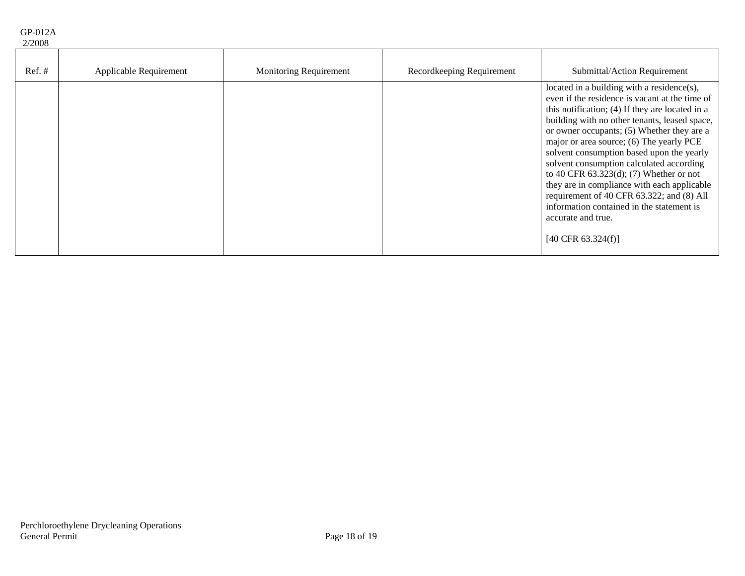| $Ref. \#$ | Applicable Requirement | <b>Monitoring Requirement</b> | Recordkeeping Requirement | Submittal/Action Requirement                                                                                                                                                                                                                                                                                                                                                                                                                                                                                                                                                                                                      |
|-----------|------------------------|-------------------------------|---------------------------|-----------------------------------------------------------------------------------------------------------------------------------------------------------------------------------------------------------------------------------------------------------------------------------------------------------------------------------------------------------------------------------------------------------------------------------------------------------------------------------------------------------------------------------------------------------------------------------------------------------------------------------|
|           |                        |                               |                           | located in a building with a residence(s),<br>even if the residence is vacant at the time of<br>this notification; (4) If they are located in a<br>building with no other tenants, leased space,<br>or owner occupants; (5) Whether they are a<br>major or area source; (6) The yearly PCE<br>solvent consumption based upon the yearly<br>solvent consumption calculated according<br>to 40 CFR $63.323(d)$ ; (7) Whether or not<br>they are in compliance with each applicable<br>requirement of 40 CFR 63.322; and (8) All<br>information contained in the statement is<br>accurate and true.<br>$[40 \text{ CFR } 63.324(f)]$ |